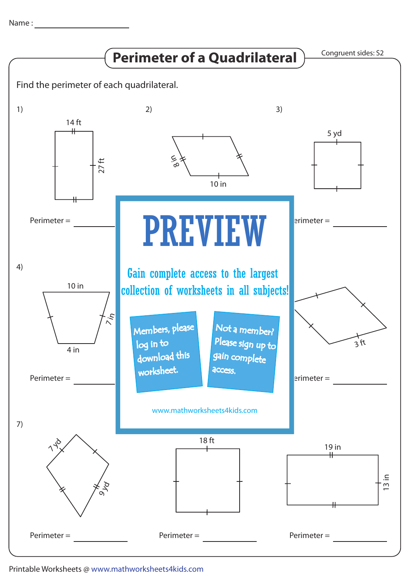Name :